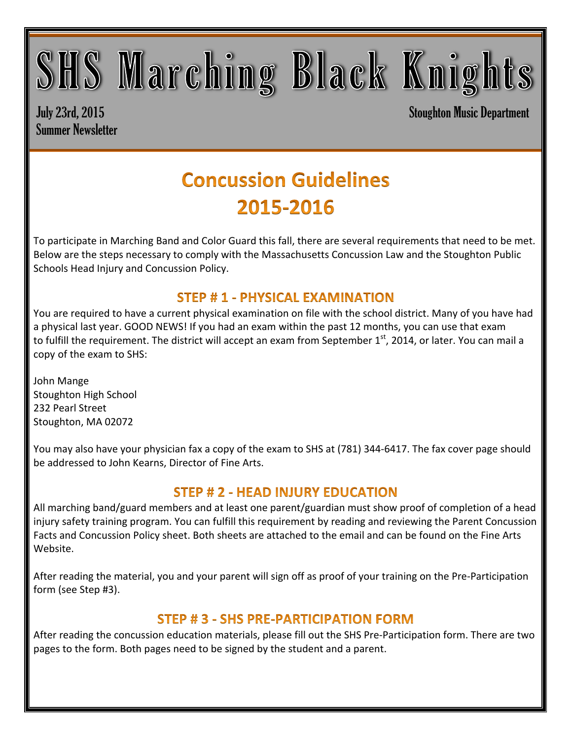## SHS Marching Black Knights

Summer Newsletter

July 23rd, 2015 Stoughton Music Department

### **Concussion Guidelines** 2015-2016

To participate in Marching Band and Color Guard this fall, there are several requirements that need to be met. Below are the steps necessary to comply with the Massachusetts Concussion Law and the Stoughton Public Schools Head Injury and Concussion Policy.

#### **STEP #1 - PHYSICAL EXAMINATION**

You are required to have a current physical examination on file with the school district. Many of you have had a physical last year. GOOD NEWS! If you had an exam within the past 12 months, you can use that exam to fulfill the requirement. The district will accept an exam from September 1<sup>st</sup>, 2014, or later. You can mail a copy of the exam to SHS:

John Mange Stoughton High School 232 Pearl Street Stoughton, MA 02072

You may also have your physician fax a copy of the exam to SHS at (781) 344-6417. The fax cover page should be addressed to John Kearns, Director of Fine Arts.

#### **STEP # 2 - HEAD INJURY EDUCATION**

All marching band/guard members and at least one parent/guardian must show proof of completion of a head injury safety training program. You can fulfill this requirement by reading and reviewing the Parent Concussion Facts and Concussion Policy sheet. Both sheets are attached to the email and can be found on the Fine Arts Website.

After reading the material, you and your parent will sign off as proof of your training on the Pre-Participation form (see Step #3).

### **STEP #3 - SHS PRE-PARTICIPATION FORM**

After reading the concussion education materials, please fill out the SHS Pre-Participation form. There are two pages to the form. Both pages need to be signed by the student and a parent.